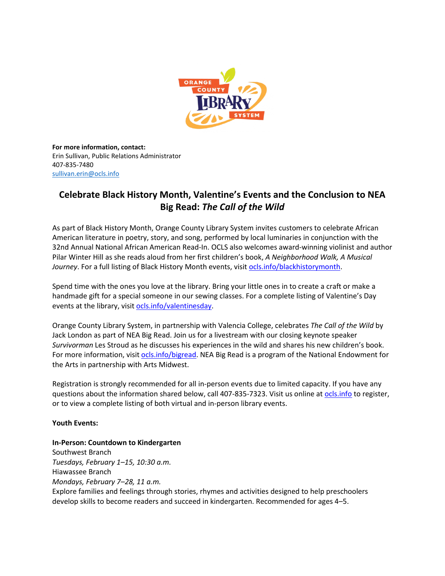

**For more information, contact:** Erin Sullivan, Public Relations Administrator 407-835-7480 [sullivan.erin@ocls.info](mailto:sullivan.erin@ocls.info)

# **Celebrate Black History Month, Valentine's Events and the Conclusion to NEA Big Read:** *The Call of the Wild*

As part of Black History Month, Orange County Library System invites customers to celebrate African American literature in poetry, story, and song, performed by local luminaries in conjunction with the 32nd Annual National African American Read-In. OCLS also welcomes award-winning violinist and author Pilar Winter Hill as she reads aloud from her first children's book, *A Neighborhood Walk, A Musical Journey*. For a full listing of Black History Month events, visit [ocls.info/blackhistorymonth.](http://www.ocls.info/blackhistorymonth)

Spend time with the ones you love at the library. Bring your little ones in to create a craft or make a handmade gift for a special someone in our sewing classes. For a complete listing of Valentine's Day events at the library, visit [ocls.info/valentinesday.](http://www.ocls.info/valentinesday)

Orange County Library System, in partnership with Valencia College, celebrates *The Call of the Wild* by Jack London as part of NEA Big Read. Join us for a livestream with our closing keynote speaker *Survivorman* Les Stroud as he discusses his experiences in the wild and shares his new children's book. For more information, visit ocls.info/bigread. NEA Big Read is a program of the National Endowment for the Arts in partnership with Arts Midwest.

Registration is strongly recommended for all in-person events due to limited capacity. If you have any questions about the information shared below, call 407-835-7323. Visit us online at [ocls.info](http://www.ocls.info/) to register, or to view a complete listing of both virtual and in-person library events.

## **Youth Events:**

## **In-Person: Countdown to Kindergarten**

Southwest Branch *Tuesdays, February 1–15, 10:30 a.m.* Hiawassee Branch *Mondays, February 7–28, 11 a.m.* Explore families and feelings through stories, rhymes and activities designed to help preschoolers develop skills to become readers and succeed in kindergarten. Recommended for ages 4–5.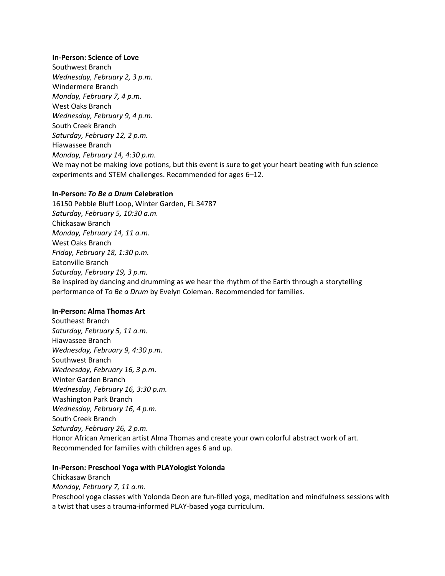#### **In-Person: Science of Love**

Southwest Branch *Wednesday, February 2, 3 p.m.* Windermere Branch *Monday, February 7, 4 p.m.* West Oaks Branch *Wednesday, February 9, 4 p.m.* South Creek Branch *Saturday, February 12, 2 p.m.* Hiawassee Branch *Monday, February 14, 4:30 p.m.* We may not be making love potions, but this event is sure to get your heart beating with fun science experiments and STEM challenges. Recommended for ages 6–12.

## **In-Person:** *To Be a Drum* **Celebration**

16150 Pebble Bluff Loop, Winter Garden, FL 34787 *Saturday, February 5, 10:30 a.m.* Chickasaw Branch *Monday, February 14, 11 a.m.* West Oaks Branch *Friday, February 18, 1:30 p.m.* Eatonville Branch *Saturday, February 19, 3 p.m.* Be inspired by dancing and drumming as we hear the rhythm of the Earth through a storytelling performance of *To Be a Drum* by Evelyn Coleman. Recommended for families.

#### **In-Person: Alma Thomas Art**

Southeast Branch *Saturday, February 5, 11 a.m.* Hiawassee Branch *Wednesday, February 9, 4:30 p.m.* Southwest Branch *Wednesday, February 16, 3 p.m.* Winter Garden Branch *Wednesday, February 16, 3:30 p.m.* Washington Park Branch *Wednesday, February 16, 4 p.m.* South Creek Branch *Saturday, February 26, 2 p.m.* Honor African American artist Alma Thomas and create your own colorful abstract work of art. Recommended for families with children ages 6 and up.

#### **In-Person: Preschool Yoga with PLAYologist Yolonda**

Chickasaw Branch *Monday, February 7, 11 a.m.* Preschool yoga classes with Yolonda Deon are fun-filled yoga, meditation and mindfulness sessions with a twist that uses a trauma-informed PLAY-based yoga curriculum.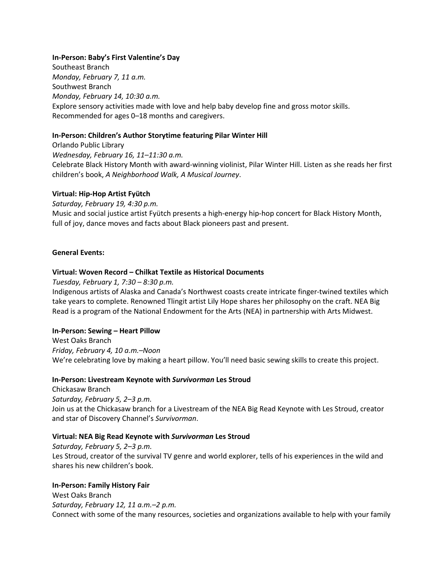## **In-Person: Baby's First Valentine's Day**

Southeast Branch *Monday, February 7, 11 a.m.* Southwest Branch *Monday, February 14, 10:30 a.m.* Explore sensory activities made with love and help baby develop fine and gross motor skills. Recommended for ages 0–18 months and caregivers.

## **In-Person: Children's Author Storytime featuring Pilar Winter Hill**

Orlando Public Library *Wednesday, February 16, 11–11:30 a.m.* Celebrate Black History Month with award-winning violinist, Pilar Winter Hill. Listen as she reads her first children's book, *A Neighborhood Walk, A Musical Journey*.

## **Virtual: Hip-Hop Artist Fyütch**

*Saturday, February 19, 4:30 p.m.* Music and social justice artist Fyütch presents a high-energy hip-hop concert for Black History Month, full of joy, dance moves and facts about Black pioneers past and present.

## **General Events:**

## **Virtual: Woven Record – Chilkat Textile as Historical Documents**

*Tuesday, February 1, 7:30 – 8:30 p.m.*

Indigenous artists of Alaska and Canada's Northwest coasts create intricate finger-twined textiles which take years to complete. Renowned Tlingit artist Lily Hope shares her philosophy on the craft. NEA Big Read is a program of the National Endowment for the Arts (NEA) in partnership with Arts Midwest.

#### **In-Person: Sewing – Heart Pillow**

West Oaks Branch *Friday, February 4, 10 a.m.–Noon* We're celebrating love by making a heart pillow. You'll need basic sewing skills to create this project.

#### **In-Person: Livestream Keynote with** *Survivorman* **Les Stroud**

Chickasaw Branch *Saturday, February 5, 2–3 p.m.* Join us at the Chickasaw branch for a Livestream of the NEA Big Read Keynote with Les Stroud, creator and star of Discovery Channel's *Survivorman*.

#### **Virtual: NEA Big Read Keynote with** *Survivorman* **Les Stroud**

*Saturday, February 5, 2–3 p.m.* Les Stroud, creator of the survival TV genre and world explorer, tells of his experiences in the wild and shares his new children's book.

#### **In-Person: Family History Fair**

West Oaks Branch *Saturday, February 12, 11 a.m.–2 p.m.* Connect with some of the many resources, societies and organizations available to help with your family